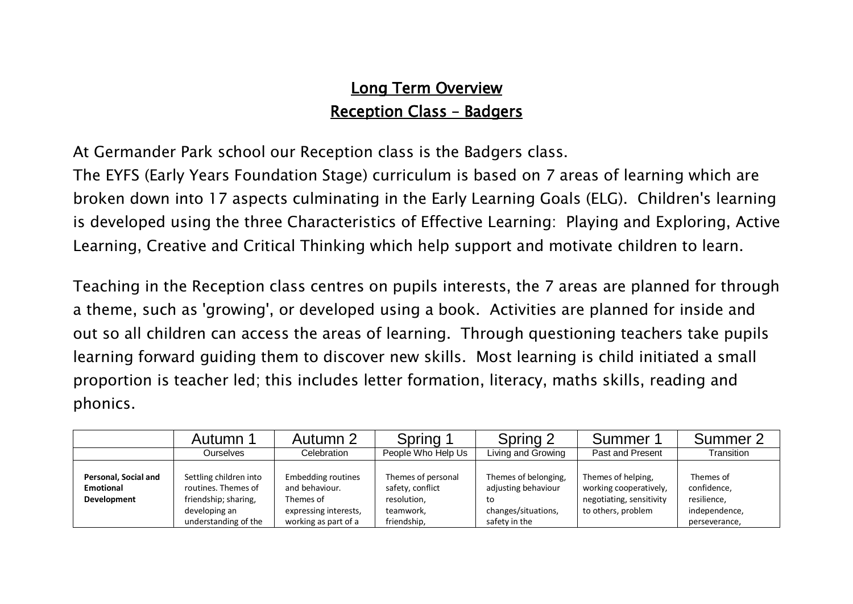## Long Term Overview Reception Class – Badgers

At Germander Park school our Reception class is the Badgers class.

The EYFS (Early Years Foundation Stage) curriculum is based on 7 areas of learning which are broken down into 17 aspects culminating in the Early Learning Goals (ELG). Children's learning is developed using the three Characteristics of Effective Learning: Playing and Exploring, Active Learning, Creative and Critical Thinking which help support and motivate children to learn.

Teaching in the Reception class centres on pupils interests, the 7 areas are planned for through a theme, such as 'growing', or developed using a book. Activities are planned for inside and out so all children can access the areas of learning. Through questioning teachers take pupils learning forward guiding them to discover new skills. Most learning is child initiated a small proportion is teacher led; this includes letter formation, literacy, maths skills, reading and phonics.

|                                                         | Autumn 1                                                                                                       | Autumn 2                                                                                                  | Spring 1                                                                          | Spring 2                                                                                  | Summer 1                                                                                       | Summer 2                                                                  |
|---------------------------------------------------------|----------------------------------------------------------------------------------------------------------------|-----------------------------------------------------------------------------------------------------------|-----------------------------------------------------------------------------------|-------------------------------------------------------------------------------------------|------------------------------------------------------------------------------------------------|---------------------------------------------------------------------------|
|                                                         | Ourselves                                                                                                      | Celebration                                                                                               | People Who Help Us                                                                | Living and Growing                                                                        | Past and Present                                                                               | Transition                                                                |
| Personal, Social and<br><b>Emotional</b><br>Development | Settling children into<br>routines. Themes of<br>friendship; sharing,<br>developing an<br>understanding of the | <b>Embedding routines</b><br>and behaviour.<br>Themes of<br>expressing interests,<br>working as part of a | Themes of personal<br>safety, conflict<br>resolution,<br>teamwork.<br>friendship, | Themes of belonging,<br>adjusting behaviour<br>to<br>changes/situations,<br>safety in the | Themes of helping,<br>working cooperatively,<br>negotiating, sensitivity<br>to others, problem | Themes of<br>confidence,<br>resilience,<br>independence,<br>perseverance, |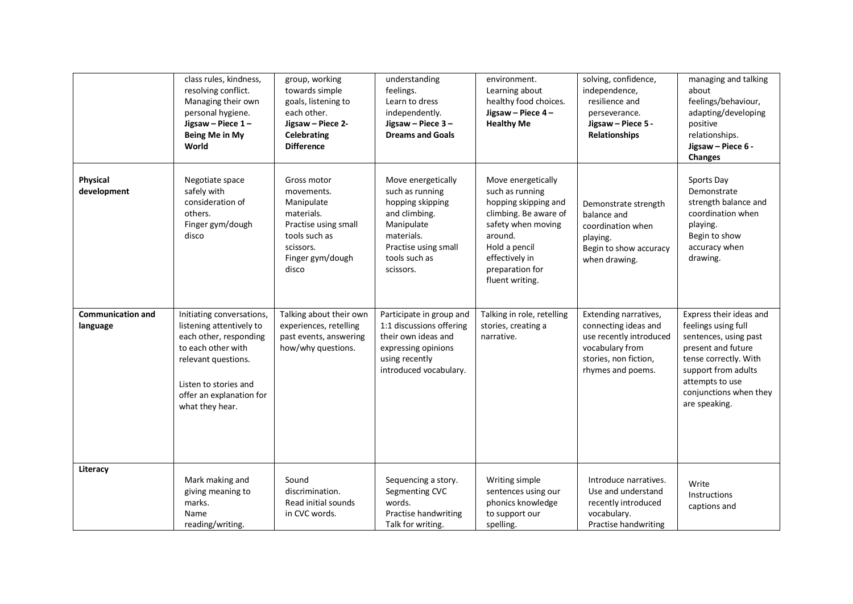|                                      | class rules, kindness,<br>resolving conflict.<br>Managing their own<br>personal hygiene.<br>Jigsaw - Piece 1-<br>Being Me in My<br>World                                                             | group, working<br>towards simple<br>goals, listening to<br>each other.<br>Jigsaw - Piece 2-<br><b>Celebrating</b><br><b>Difference</b>   | understanding<br>feelings.<br>Learn to dress<br>independently.<br>Jigsaw - Piece 3 -<br><b>Dreams and Goals</b>                                              | environment.<br>Learning about<br>healthy food choices.<br>Jigsaw - Piece 4-<br><b>Healthy Me</b>                                                                                                | solving, confidence,<br>independence,<br>resilience and<br>perseverance.<br>Jigsaw - Piece 5 -<br>Relationships                           | managing and talking<br>about<br>feelings/behaviour,<br>adapting/developing<br>positive<br>relationships.<br>Jigsaw - Piece 6 -<br>Changes                                                                  |
|--------------------------------------|------------------------------------------------------------------------------------------------------------------------------------------------------------------------------------------------------|------------------------------------------------------------------------------------------------------------------------------------------|--------------------------------------------------------------------------------------------------------------------------------------------------------------|--------------------------------------------------------------------------------------------------------------------------------------------------------------------------------------------------|-------------------------------------------------------------------------------------------------------------------------------------------|-------------------------------------------------------------------------------------------------------------------------------------------------------------------------------------------------------------|
| Physical<br>development              | Negotiate space<br>safely with<br>consideration of<br>others.<br>Finger gym/dough<br>disco                                                                                                           | Gross motor<br>movements.<br>Manipulate<br>materials.<br>Practise using small<br>tools such as<br>scissors.<br>Finger gym/dough<br>disco | Move energetically<br>such as running<br>hopping skipping<br>and climbing.<br>Manipulate<br>materials.<br>Practise using small<br>tools such as<br>scissors. | Move energetically<br>such as running<br>hopping skipping and<br>climbing. Be aware of<br>safety when moving<br>around.<br>Hold a pencil<br>effectively in<br>preparation for<br>fluent writing. | Demonstrate strength<br>balance and<br>coordination when<br>playing.<br>Begin to show accuracy<br>when drawing.                           | Sports Day<br>Demonstrate<br>strength balance and<br>coordination when<br>playing.<br>Begin to show<br>accuracy when<br>drawing.                                                                            |
| <b>Communication and</b><br>language | Initiating conversations,<br>listening attentively to<br>each other, responding<br>to each other with<br>relevant questions.<br>Listen to stories and<br>offer an explanation for<br>what they hear. | Talking about their own<br>experiences, retelling<br>past events, answering<br>how/why questions.                                        | Participate in group and<br>1:1 discussions offering<br>their own ideas and<br>expressing opinions<br>using recently<br>introduced vocabulary.               | Talking in role, retelling<br>stories, creating a<br>narrative.                                                                                                                                  | Extending narratives,<br>connecting ideas and<br>use recently introduced<br>vocabulary from<br>stories, non fiction,<br>rhymes and poems. | Express their ideas and<br>feelings using full<br>sentences, using past<br>present and future<br>tense correctly. With<br>support from adults<br>attempts to use<br>conjunctions when they<br>are speaking. |
| Literacy                             | Mark making and<br>giving meaning to<br>marks.<br>Name<br>reading/writing.                                                                                                                           | Sound<br>discrimination.<br>Read initial sounds<br>in CVC words.                                                                         | Sequencing a story.<br>Segmenting CVC<br>words.<br>Practise handwriting<br>Talk for writing.                                                                 | Writing simple<br>sentences using our<br>phonics knowledge<br>to support our<br>spelling.                                                                                                        | Introduce narratives.<br>Use and understand<br>recently introduced<br>vocabulary.<br>Practise handwriting                                 | Write<br>Instructions<br>captions and                                                                                                                                                                       |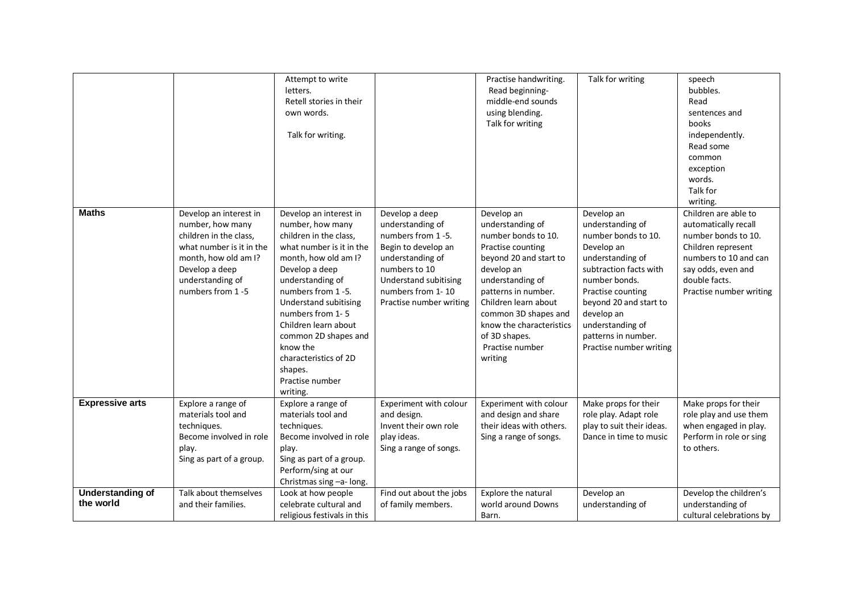|                                      |                                                                                                                                                                                    | Attempt to write<br>letters.<br>Retell stories in their<br>own words.<br>Talk for writing.                                                                                                                                                                                                                                                                      |                                                                                                                                                                                              | Practise handwriting.<br>Read beginning-<br>middle-end sounds<br>using blending.<br>Talk for writing                                                                                                                                                                                     | Talk for writing                                                                                                                                                                                                                                                      | speech<br>bubbles.<br>Read<br>sentences and<br>books<br>independently.<br>Read some<br>common<br>exception<br>words.<br>Talk for<br>writing.                                         |
|--------------------------------------|------------------------------------------------------------------------------------------------------------------------------------------------------------------------------------|-----------------------------------------------------------------------------------------------------------------------------------------------------------------------------------------------------------------------------------------------------------------------------------------------------------------------------------------------------------------|----------------------------------------------------------------------------------------------------------------------------------------------------------------------------------------------|------------------------------------------------------------------------------------------------------------------------------------------------------------------------------------------------------------------------------------------------------------------------------------------|-----------------------------------------------------------------------------------------------------------------------------------------------------------------------------------------------------------------------------------------------------------------------|--------------------------------------------------------------------------------------------------------------------------------------------------------------------------------------|
| <b>Maths</b>                         | Develop an interest in<br>number, how many<br>children in the class,<br>what number is it in the<br>month, how old am I?<br>Develop a deep<br>understanding of<br>numbers from 1-5 | Develop an interest in<br>number, how many<br>children in the class,<br>what number is it in the<br>month, how old am I?<br>Develop a deep<br>understanding of<br>numbers from 1-5.<br>Understand subitising<br>numbers from 1-5<br>Children learn about<br>common 2D shapes and<br>know the<br>characteristics of 2D<br>shapes.<br>Practise number<br>writing. | Develop a deep<br>understanding of<br>numbers from 1-5.<br>Begin to develop an<br>understanding of<br>numbers to 10<br>Understand subitising<br>numbers from 1-10<br>Practise number writing | Develop an<br>understanding of<br>number bonds to 10.<br>Practise counting<br>beyond 20 and start to<br>develop an<br>understanding of<br>patterns in number.<br>Children learn about<br>common 3D shapes and<br>know the characteristics<br>of 3D shapes.<br>Practise number<br>writing | Develop an<br>understanding of<br>number bonds to 10.<br>Develop an<br>understanding of<br>subtraction facts with<br>number bonds.<br>Practise counting<br>beyond 20 and start to<br>develop an<br>understanding of<br>patterns in number.<br>Practise number writing | Children are able to<br>automatically recall<br>number bonds to 10.<br>Children represent<br>numbers to 10 and can<br>say odds, even and<br>double facts.<br>Practise number writing |
| <b>Expressive arts</b>               | Explore a range of<br>materials tool and<br>techniques.<br>Become involved in role<br>play.<br>Sing as part of a group.                                                            | Explore a range of<br>materials tool and<br>techniques.<br>Become involved in role<br>play.<br>Sing as part of a group.<br>Perform/sing at our<br>Christmas sing -a- long.                                                                                                                                                                                      | Experiment with colour<br>and design.<br>Invent their own role<br>play ideas.<br>Sing a range of songs.                                                                                      | Experiment with colour<br>and design and share<br>their ideas with others.<br>Sing a range of songs.                                                                                                                                                                                     | Make props for their<br>role play. Adapt role<br>play to suit their ideas.<br>Dance in time to music                                                                                                                                                                  | Make props for their<br>role play and use them<br>when engaged in play.<br>Perform in role or sing<br>to others.                                                                     |
| <b>Understanding of</b><br>the world | Talk about themselves<br>and their families.                                                                                                                                       | Look at how people<br>celebrate cultural and<br>religious festivals in this                                                                                                                                                                                                                                                                                     | Find out about the jobs<br>of family members.                                                                                                                                                | Explore the natural<br>world around Downs<br>Barn.                                                                                                                                                                                                                                       | Develop an<br>understanding of                                                                                                                                                                                                                                        | Develop the children's<br>understanding of<br>cultural celebrations by                                                                                                               |